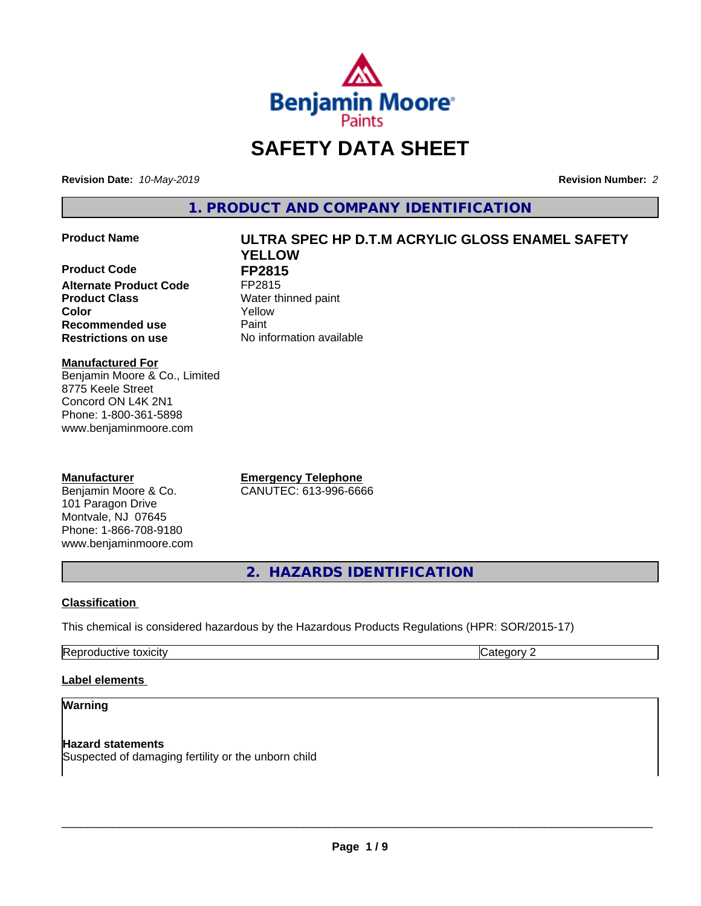

# **SAFETY DATA SHEET**

**Revision Date:** *10-May-2019* **Revision Number:** *2*

**1. PRODUCT AND COMPANY IDENTIFICATION**

## **Product Name ULTRA SPEC HP D.T.M ACRYLIC GLOSS ENAMEL SAFETY**

**Product Code FP2815**<br>Alternate Product Code FP2815 **Alternate Product Code Product Class** Water thinned paint **Recommended use Caint Restrictions on use** No information available

**YELLOW Color** Yellow

**Manufactured For** Benjamin Moore & Co., Limited 8775 Keele Street Concord ON L4K 2N1 Phone: 1-800-361-5898 www.benjaminmoore.com

## **Manufacturer**

Benjamin Moore & Co. 101 Paragon Drive Montvale, NJ 07645 Phone: 1-866-708-9180 www.benjaminmoore.com

**Emergency Telephone** CANUTEC: 613-996-6666

**2. HAZARDS IDENTIFICATION**

## **Classification**

This chemical is considered hazardous by the Hazardous Products Regulations (HPR: SOR/2015-17)

Reproductive toxicity **Category 2 Category 2** 

## **Label elements**

## **Warning**

**Hazard statements** Suspected of damaging fertility or the unborn child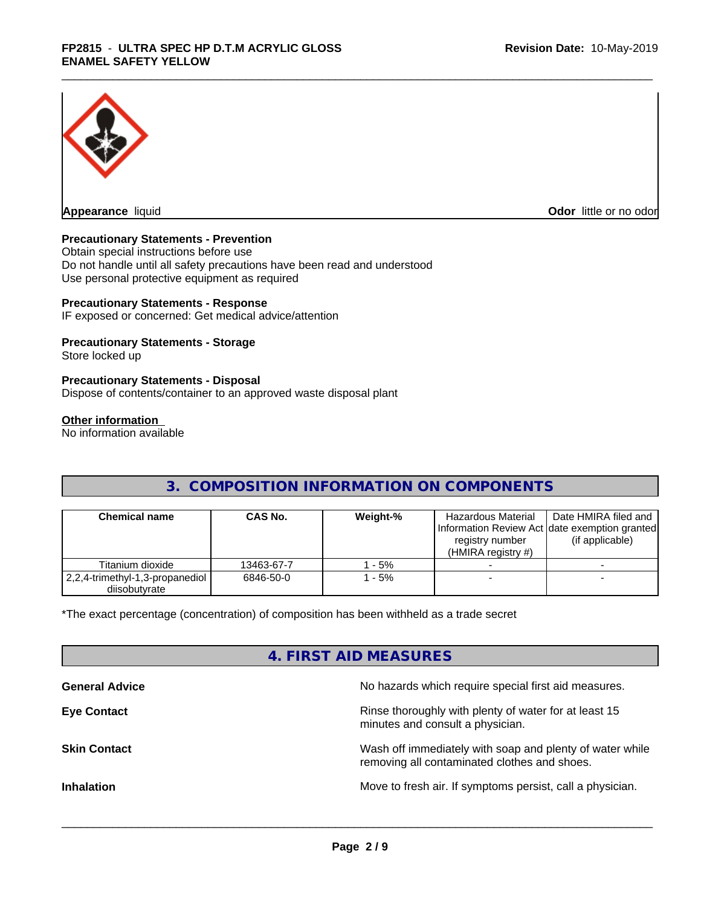

**Appearance** liquid

**Odor** little or no odor

## **Precautionary Statements - Prevention**

Obtain special instructions before use Do not handle until all safety precautions have been read and understood Use personal protective equipment as required

## **Precautionary Statements - Response**

IF exposed or concerned: Get medical advice/attention

## **Precautionary Statements - Storage**

Store locked up

## **Precautionary Statements - Disposal**

Dispose of contents/container to an approved waste disposal plant

#### **Other information**

No information available

## **3. COMPOSITION INFORMATION ON COMPONENTS**

| <b>Chemical name</b>                             | <b>CAS No.</b> | Weight-% | Hazardous Material<br>registry number<br>(HMIRA registry $#$ ) | Date HMIRA filed and<br>Information Review Act Idate exemption granted<br>(if applicable) |
|--------------------------------------------------|----------------|----------|----------------------------------------------------------------|-------------------------------------------------------------------------------------------|
| Titanium dioxide                                 | 13463-67-7     | - 5%     |                                                                |                                                                                           |
| 2,2,4-trimethyl-1,3-propanediol<br>diisobutyrate | 6846-50-0      | - 5%     |                                                                |                                                                                           |

\*The exact percentage (concentration) of composition has been withheld as a trade secret

## **4. FIRST AID MEASURES**

| <b>General Advice</b> | No hazards which require special first aid measures.                                                     |
|-----------------------|----------------------------------------------------------------------------------------------------------|
| <b>Eye Contact</b>    | Rinse thoroughly with plenty of water for at least 15<br>minutes and consult a physician.                |
| <b>Skin Contact</b>   | Wash off immediately with soap and plenty of water while<br>removing all contaminated clothes and shoes. |
| <b>Inhalation</b>     | Move to fresh air. If symptoms persist, call a physician.                                                |
|                       |                                                                                                          |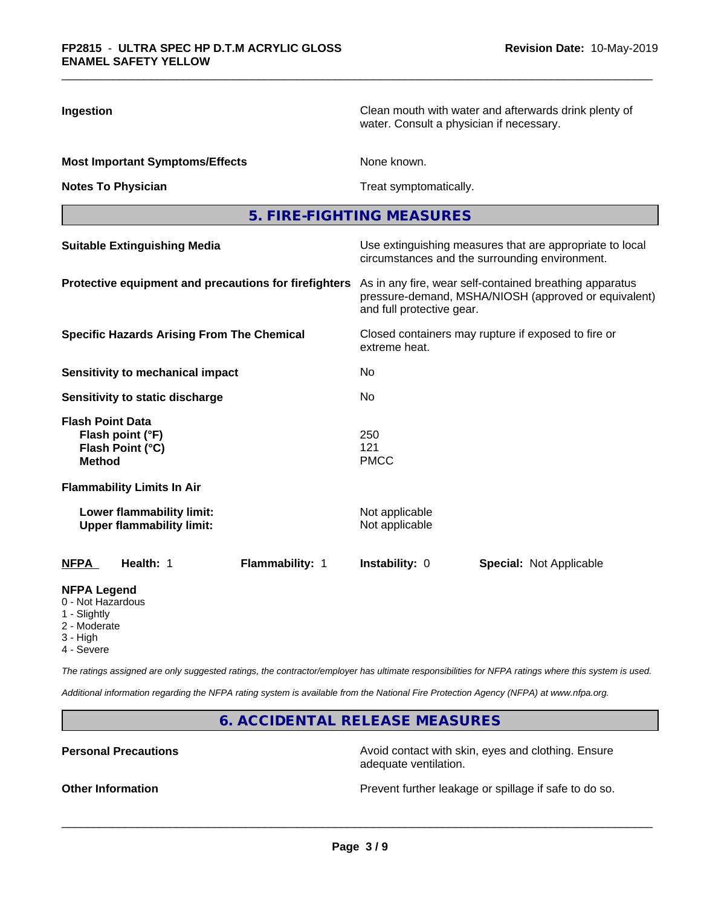| Ingestion                                                                        | Clean mouth with water and afterwards drink plenty of<br>water. Consult a physician if necessary.                                            |  |  |
|----------------------------------------------------------------------------------|----------------------------------------------------------------------------------------------------------------------------------------------|--|--|
| <b>Most Important Symptoms/Effects</b>                                           | None known.                                                                                                                                  |  |  |
| <b>Notes To Physician</b>                                                        | Treat symptomatically.                                                                                                                       |  |  |
|                                                                                  | 5. FIRE-FIGHTING MEASURES                                                                                                                    |  |  |
| <b>Suitable Extinguishing Media</b>                                              | Use extinguishing measures that are appropriate to local<br>circumstances and the surrounding environment.                                   |  |  |
| Protective equipment and precautions for firefighters                            | As in any fire, wear self-contained breathing apparatus<br>pressure-demand, MSHA/NIOSH (approved or equivalent)<br>and full protective gear. |  |  |
| <b>Specific Hazards Arising From The Chemical</b>                                | Closed containers may rupture if exposed to fire or<br>extreme heat.                                                                         |  |  |
| <b>Sensitivity to mechanical impact</b>                                          | No                                                                                                                                           |  |  |
| Sensitivity to static discharge                                                  | No                                                                                                                                           |  |  |
| <b>Flash Point Data</b><br>Flash point (°F)<br>Flash Point (°C)<br><b>Method</b> | 250<br>121<br><b>PMCC</b>                                                                                                                    |  |  |
| <b>Flammability Limits In Air</b>                                                |                                                                                                                                              |  |  |
| Lower flammability limit:<br><b>Upper flammability limit:</b>                    | Not applicable<br>Not applicable                                                                                                             |  |  |
| Health: 1<br>Flammability: 1<br>NFPA                                             | Instability: 0<br><b>Special: Not Applicable</b>                                                                                             |  |  |
| <b>NFPA Legend</b><br>0 - Not Hazardous<br>1 - Slightly<br>2 - Moderate          |                                                                                                                                              |  |  |

- 3 High
- 4 Severe

*The ratings assigned are only suggested ratings, the contractor/employer has ultimate responsibilities for NFPA ratings where this system is used.*

*Additional information regarding the NFPA rating system is available from the National Fire Protection Agency (NFPA) at www.nfpa.org.*

**6. ACCIDENTAL RELEASE MEASURES**

**Personal Precautions Precautions** Avoid contact with skin, eyes and clothing. Ensure adequate ventilation.

**Other Information Other Information Prevent further leakage or spillage if safe to do so.**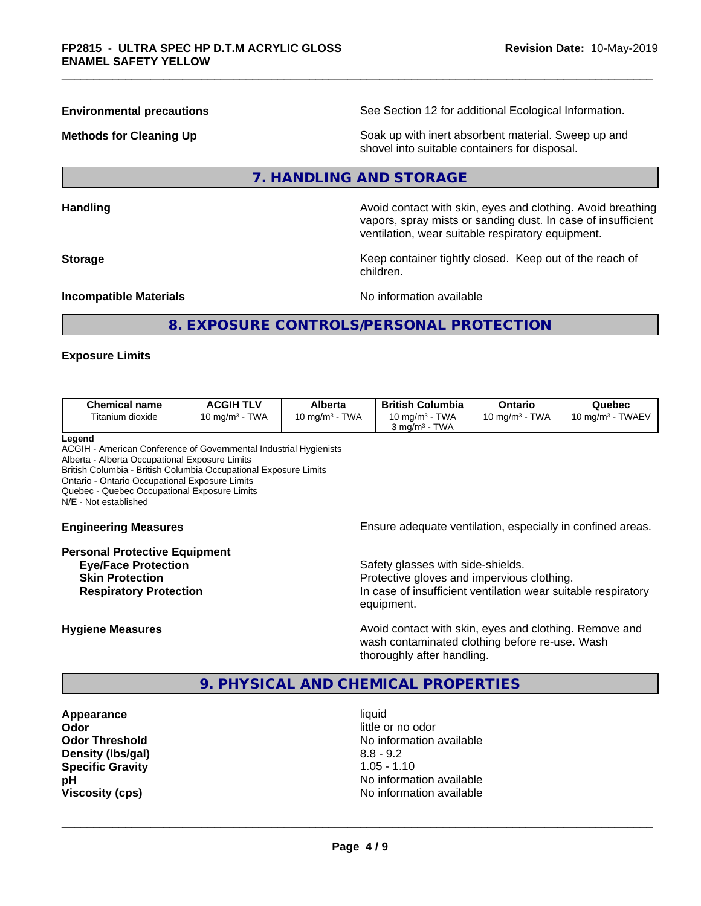**Environmental precautions** See Section 12 for additional Ecological Information.

**Methods for Cleaning Up Example 20 Soak** up with inert absorbent material. Sweep up and shovel into suitable containers for disposal.

## **7. HANDLING AND STORAGE**

**Handling Handling Avoid contact with skin, eyes and clothing. Avoid breathing H** 

vapors, spray mists or sanding dust. In case of insufficient ventilation, wear suitable respiratory equipment. **Storage Keep container tightly closed. Keep out of the reach of Keep** container tightly closed. Keep out of the reach of

**Incompatible Materials Incompatible Materials No information available** 

## **8. EXPOSURE CONTROLS/PERSONAL PROTECTION**

children.

## **Exposure Limits**

| <b>Chemical name</b>                | <b>ACGIH TLV</b>                   | Alberta                   | <b>British Columbia</b>    | Ontario                   | Quebec                             |
|-------------------------------------|------------------------------------|---------------------------|----------------------------|---------------------------|------------------------------------|
| $- \cdot \cdot$<br>Fitanium dioxide | <b>TWA</b><br>.0 mg/m <sup>3</sup> | <b>TWA</b><br>10 mg/m $3$ | TWA<br>10 mg/m $3$         | <b>TWA</b><br>10 mg/m $3$ | <b>TWAEV</b><br>10 ma/m $^{\rm 3}$ |
|                                     |                                    |                           | TWA<br>ය mɑ/m <sup>3</sup> |                           |                                    |

#### **Legend**

ACGIH - American Conference of Governmental Industrial Hygienists Alberta - Alberta Occupational Exposure Limits British Columbia - British Columbia Occupational Exposure Limits Ontario - Ontario Occupational Exposure Limits Quebec - Quebec Occupational Exposure Limits N/E - Not established

# **Personal Protective Equipment Eye/Face Protection Safety glasses with side-shields.** Safety glasses with side-shields.

**Engineering Measures Ensure adequate ventilation, especially in confined areas.** 

**Skin Protection Protection Protective gloves and impervious clothing. Respiratory Protection In case of insufficient ventilation wear suitable respiratory** equipment.

**Hygiene Measures Avoid contact with skin, eyes and clothing. Remove and Avoid contact with skin, eyes and clothing. Remove and Avoid contact with skin, eyes and clothing. Remove and** wash contaminated clothing before re-use. Wash thoroughly after handling.

## **9. PHYSICAL AND CHEMICAL PROPERTIES**

**Appearance** liquid **Odor Odor** little or no odor<br> **Odor Threshold Containery of the Containery of the Containery of the Containery of the Containery of the Containery of the Containery of the Containery of the Containery of the Container Density (lbs/gal)** 8.8 - 9.2 **Specific Gravity** 1.05 - 1.10<br> **pH** No informa

**No information available No information available Viscosity (cps)** No information available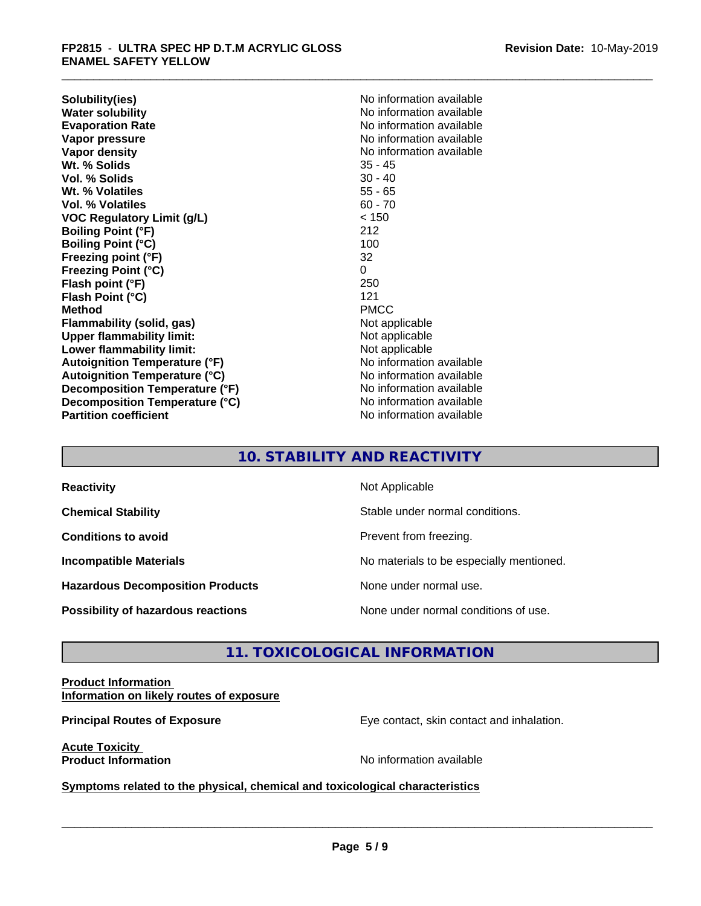**Solubility(ies)** No information available **Water solubility**<br> **Evaporation Rate**<br> **Evaporation Rate**<br> **Evaporation Rate Vapor pressure**<br> **Vapor density**<br> **Vapor density**<br> **Vapor density**<br> **Vapor density** Wt. % Solids **Vol. % Solids** 30 - 40 **Wt. % Volatiles** 55 - 65 **Vol. % Volatiles** 60 - 70 **VOC Regulatory Limit (g/L)** < 150 **Boiling Point (°F)** 212 **Boiling Point (°C)** 100 **Freezing point (°F)** 32 **Freezing Point (°C)** 0 **Flash point (°F) Flash Point (°C)** 121 **Method** PMCC **Flammability (solid, gas)** Not applicable **Upper flammability limit:**<br> **Lower flammability limit:**<br>
Not applicable<br>
Not applicable **Lower flammability limit: Autoignition Temperature (°F)** No information available **Autoignition Temperature (°C)** No information available **Decomposition Temperature (°F)** No information available **Decomposition Temperature (°C)** No information available **Partition coefficient CONSTRANSISTS No information available** 

**Evaporation Rate** No information available **No information available**<br>35 - 45

## **10. STABILITY AND REACTIVITY**

| <b>Reactivity</b>                         | Not Applicable                           |
|-------------------------------------------|------------------------------------------|
| <b>Chemical Stability</b>                 | Stable under normal conditions.          |
| <b>Conditions to avoid</b>                | Prevent from freezing.                   |
| <b>Incompatible Materials</b>             | No materials to be especially mentioned. |
| <b>Hazardous Decomposition Products</b>   | None under normal use.                   |
| <b>Possibility of hazardous reactions</b> | None under normal conditions of use.     |

## **11. TOXICOLOGICAL INFORMATION**

## **Product Information Information on likely routes of exposure**

**Principal Routes of Exposure Exposure** Eye contact, skin contact and inhalation.

**Acute Toxicity** 

**Product Information Product Information** 

 $\overline{\phantom{a}}$  ,  $\overline{\phantom{a}}$  ,  $\overline{\phantom{a}}$  ,  $\overline{\phantom{a}}$  ,  $\overline{\phantom{a}}$  ,  $\overline{\phantom{a}}$  ,  $\overline{\phantom{a}}$  ,  $\overline{\phantom{a}}$  ,  $\overline{\phantom{a}}$  ,  $\overline{\phantom{a}}$  ,  $\overline{\phantom{a}}$  ,  $\overline{\phantom{a}}$  ,  $\overline{\phantom{a}}$  ,  $\overline{\phantom{a}}$  ,  $\overline{\phantom{a}}$  ,  $\overline{\phantom{a}}$ 

**Symptoms related to the physical, chemical and toxicological characteristics**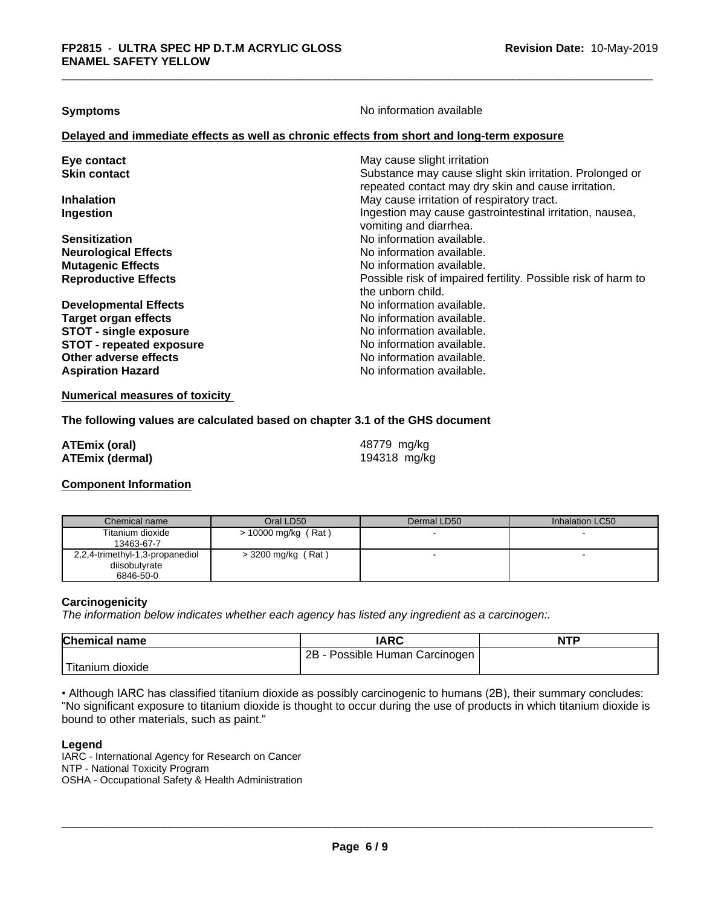**Symptoms** No information available

## **Delayed and immediate effects as well as chronic effects from short and long-term exposure**

| Eye contact<br><b>Skin contact</b> | May cause slight irritation<br>Substance may cause slight skin irritation. Prolonged or<br>repeated contact may dry skin and cause irritation. |
|------------------------------------|------------------------------------------------------------------------------------------------------------------------------------------------|
| <b>Inhalation</b>                  | May cause irritation of respiratory tract.                                                                                                     |
| Ingestion                          | Ingestion may cause gastrointestinal irritation, nausea,<br>vomiting and diarrhea.                                                             |
| <b>Sensitization</b>               | No information available.                                                                                                                      |
| <b>Neurological Effects</b>        | No information available.                                                                                                                      |
| <b>Mutagenic Effects</b>           | No information available.                                                                                                                      |
| <b>Reproductive Effects</b>        | Possible risk of impaired fertility. Possible risk of harm to<br>the unborn child.                                                             |
| <b>Developmental Effects</b>       | No information available.                                                                                                                      |
| <b>Target organ effects</b>        | No information available.                                                                                                                      |
| <b>STOT - single exposure</b>      | No information available.                                                                                                                      |
| <b>STOT - repeated exposure</b>    | No information available.                                                                                                                      |
| Other adverse effects              | No information available.                                                                                                                      |
| <b>Aspiration Hazard</b>           | No information available.                                                                                                                      |

**Numerical measures of toxicity**

## **The following values are calculated based on chapter 3.1 of the GHS document**

| <b>ATEmix (oral)</b>   | 48779 mg/kg  |
|------------------------|--------------|
| <b>ATEmix (dermal)</b> | 194318 mg/kg |

## **Component Information**

| Chemical name                                                 | Oral LD50             | Dermal LD50 | Inhalation LC50 |
|---------------------------------------------------------------|-----------------------|-------------|-----------------|
| Titanium dioxide<br>13463-67-7                                | $> 10000$ mg/kg (Rat) |             |                 |
| 2,2,4-trimethyl-1,3-propanediol<br>diisobutyrate<br>6846-50-0 | $>$ 3200 mg/kg (Rat)  |             |                 |

#### **Carcinogenicity**

*The information below indicateswhether each agency has listed any ingredient as a carcinogen:.*

| <b>Chemical name</b> | <b>IARC</b>                     | <b>NTP</b> |
|----------------------|---------------------------------|------------|
|                      | 2B<br>Possible Human Carcinogen |            |
| 'Titanium<br>dioxide |                                 |            |

• Although IARC has classified titanium dioxide as possibly carcinogenic to humans (2B), their summary concludes: "No significant exposure to titanium dioxide is thought to occur during the use of products in which titanium dioxide is bound to other materials, such as paint."

## **Legend**

IARC - International Agency for Research on Cancer NTP - National Toxicity Program OSHA - Occupational Safety & Health Administration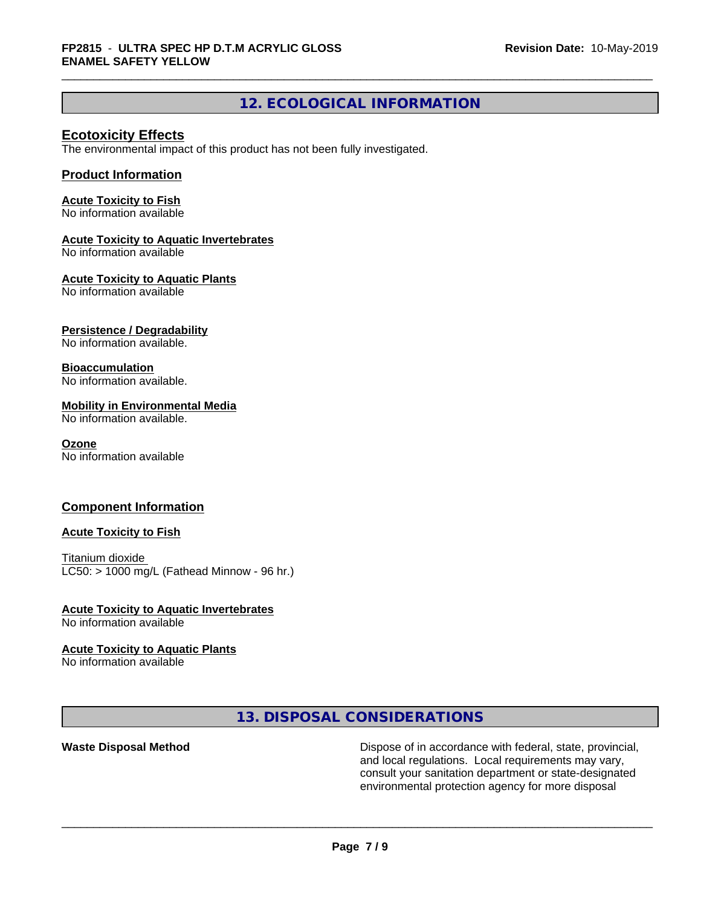## **12. ECOLOGICAL INFORMATION**

## **Ecotoxicity Effects**

The environmental impact of this product has not been fully investigated.

## **Product Information**

## **Acute Toxicity to Fish**

No information available

## **Acute Toxicity to Aquatic Invertebrates**

No information available

## **Acute Toxicity to Aquatic Plants**

No information available

## **Persistence / Degradability**

No information available.

## **Bioaccumulation**

No information available.

## **Mobility in Environmental Media**

No information available.

## **Ozone**

No information available

## **Component Information**

## **Acute Toxicity to Fish**

Titanium dioxide  $LC50:$  > 1000 mg/L (Fathead Minnow - 96 hr.)

## **Acute Toxicity to Aquatic Invertebrates**

No information available

## **Acute Toxicity to Aquatic Plants**

No information available

**13. DISPOSAL CONSIDERATIONS**

Waste Disposal Method **Dispose of in accordance with federal, state, provincial,** and local regulations. Local requirements may vary, consult your sanitation department or state-designated environmental protection agency for more disposal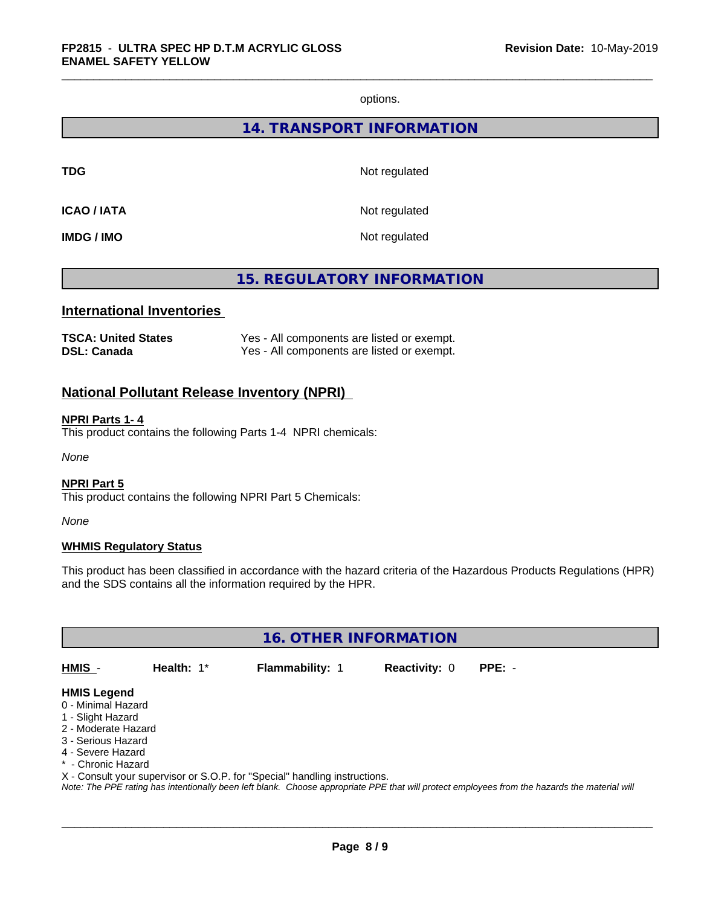options.

## **14. TRANSPORT INFORMATION**

**TDG** Not regulated

**ICAO / IATA** Not regulated

**IMDG / IMO** Not regulated

## **15. REGULATORY INFORMATION**

## **International Inventories**

| <b>TSCA: United States</b> | Yes - All components are listed or exempt. |
|----------------------------|--------------------------------------------|
| <b>DSL: Canada</b>         | Yes - All components are listed or exempt. |

## **National Pollutant Release Inventory (NPRI)**

## **NPRI Parts 1- 4**

This product contains the following Parts 1-4 NPRI chemicals:

*None*

### **NPRI Part 5**

This product contains the following NPRI Part 5 Chemicals:

*None*

## **WHMIS Regulatory Status**

This product has been classified in accordance with the hazard criteria of the Hazardous Products Regulations (HPR) and the SDS contains all the information required by the HPR.

**16. OTHER INFORMATION**

**HMIS** - **Health:** 1\* **Flammability:** 1 **Reactivity:** 0 **PPE:** -

 $\overline{\phantom{a}}$  ,  $\overline{\phantom{a}}$  ,  $\overline{\phantom{a}}$  ,  $\overline{\phantom{a}}$  ,  $\overline{\phantom{a}}$  ,  $\overline{\phantom{a}}$  ,  $\overline{\phantom{a}}$  ,  $\overline{\phantom{a}}$  ,  $\overline{\phantom{a}}$  ,  $\overline{\phantom{a}}$  ,  $\overline{\phantom{a}}$  ,  $\overline{\phantom{a}}$  ,  $\overline{\phantom{a}}$  ,  $\overline{\phantom{a}}$  ,  $\overline{\phantom{a}}$  ,  $\overline{\phantom{a}}$ 

#### **HMIS Legend**

- 0 Minimal Hazard
- 1 Slight Hazard
- 2 Moderate Hazard
- 3 Serious Hazard
- 4 Severe Hazard
- \* Chronic Hazard

X - Consult your supervisor or S.O.P. for "Special" handling instructions.

*Note: The PPE rating has intentionally been left blank. Choose appropriate PPE that will protect employees from the hazards the material will*